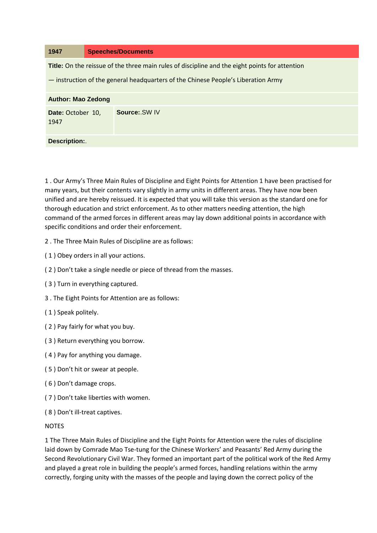| 1947                                                                                           | <b>Speeches/Documents</b>                                                         |
|------------------------------------------------------------------------------------------------|-----------------------------------------------------------------------------------|
| Title: On the reissue of the three main rules of discipline and the eight points for attention |                                                                                   |
|                                                                                                | - instruction of the general headquarters of the Chinese People's Liberation Army |
| <b>Author: Mao Zedong</b>                                                                      |                                                                                   |
| Date: October 10,<br>1947                                                                      | Source: SW IV                                                                     |
| Description:.                                                                                  |                                                                                   |

1 . Our Army's Three Main Rules of Discipline and Eight Points for Attention 1 have been practised for many years, but their contents vary slightly in army units in different areas. They have now been unified and are hereby reissued. It is expected that you will take this version as the standard one for thorough education and strict enforcement. As to other matters needing attention, the high command of the armed forces in different areas may lay down additional points in accordance with specific conditions and order their enforcement.

- 2 . The Three Main Rules of Discipline are as follows:
- ( 1 ) Obey orders in all your actions.
- ( 2 ) Don't take a single needle or piece of thread from the masses.
- ( 3 ) Turn in everything captured.
- 3 . The Eight Points for Attention are as follows:
- ( 1 ) Speak politely.
- ( 2 ) Pay fairly for what you buy.
- ( 3 ) Return everything you borrow.
- ( 4 ) Pay for anything you damage.
- ( 5 ) Don't hit or swear at people.
- ( 6 ) Don't damage crops.
- ( 7 ) Don't take liberties with women.
- ( 8 ) Don't ill-treat captives.

## NOTES

1 The Three Main Rules of Discipline and the Eight Points for Attention were the rules of discipline laid down by Comrade Mao Tse-tung for the Chinese Workers' and Peasants' Red Army during the Second Revolutionary Civil War. They formed an important part of the political work of the Red Army and played a great role in building the people's armed forces, handling relations within the army correctly, forging unity with the masses of the people and laying down the correct policy of the